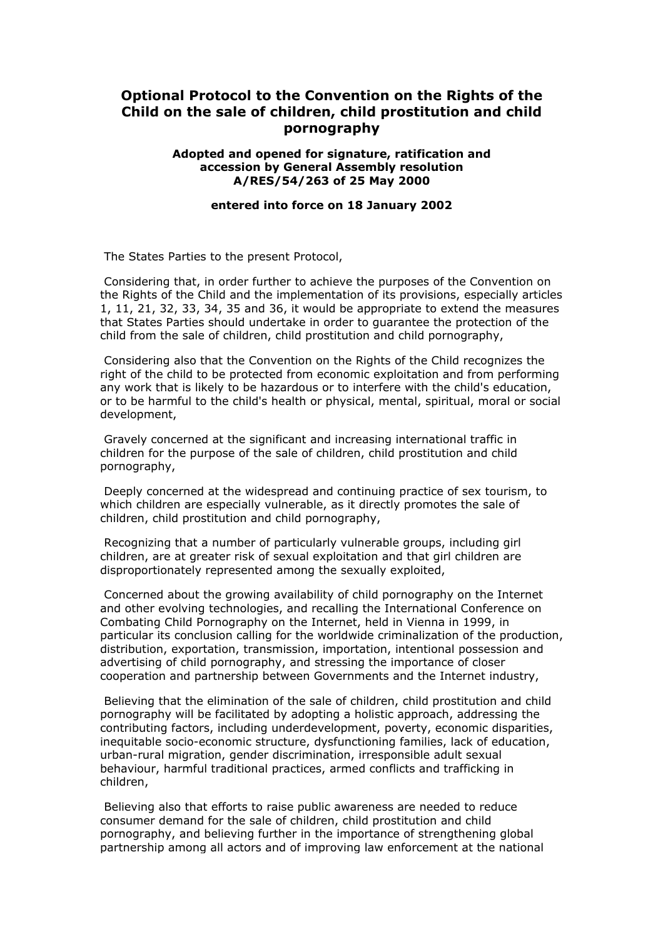# **Optional Protocol to the Convention on the Rights of the Child on the sale of children, child prostitution and child pornography**

#### **Adopted and opened for signature, ratification and accession by General Assembly resolution A/RES/54/263 of 25 May 2000**

#### **entered into force on 18 January 2002**

The States Parties to the present Protocol,

 Considering that, in order further to achieve the purposes of the Convention on the Rights of the Child and the implementation of its provisions, especially articles 1, 11, 21, 32, 33, 34, 35 and 36, it would be appropriate to extend the measures that States Parties should undertake in order to guarantee the protection of the child from the sale of children, child prostitution and child pornography,

 Considering also that the Convention on the Rights of the Child recognizes the right of the child to be protected from economic exploitation and from performing any work that is likely to be hazardous or to interfere with the child's education, or to be harmful to the child's health or physical, mental, spiritual, moral or social development,

 Gravely concerned at the significant and increasing international traffic in children for the purpose of the sale of children, child prostitution and child pornography,

 Deeply concerned at the widespread and continuing practice of sex tourism, to which children are especially vulnerable, as it directly promotes the sale of children, child prostitution and child pornography,

 Recognizing that a number of particularly vulnerable groups, including girl children, are at greater risk of sexual exploitation and that girl children are disproportionately represented among the sexually exploited,

 Concerned about the growing availability of child pornography on the Internet and other evolving technologies, and recalling the International Conference on Combating Child Pornography on the Internet, held in Vienna in 1999, in particular its conclusion calling for the worldwide criminalization of the production, distribution, exportation, transmission, importation, intentional possession and advertising of child pornography, and stressing the importance of closer cooperation and partnership between Governments and the Internet industry,

 Believing that the elimination of the sale of children, child prostitution and child pornography will be facilitated by adopting a holistic approach, addressing the contributing factors, including underdevelopment, poverty, economic disparities, inequitable socio-economic structure, dysfunctioning families, lack of education, urban-rural migration, gender discrimination, irresponsible adult sexual behaviour, harmful traditional practices, armed conflicts and trafficking in children,

 Believing also that efforts to raise public awareness are needed to reduce consumer demand for the sale of children, child prostitution and child pornography, and believing further in the importance of strengthening global partnership among all actors and of improving law enforcement at the national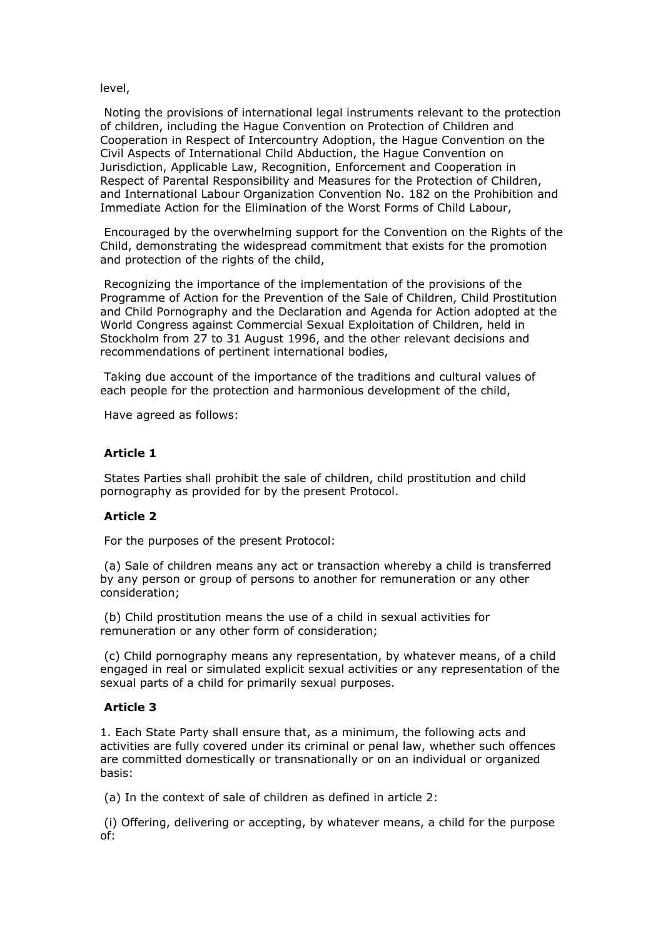level,

 Noting the provisions of international legal instruments relevant to the protection of children, including the Hague Convention on Protection of Children and Cooperation in Respect of Intercountry Adoption, the Hague Convention on the Civil Aspects of International Child Abduction, the Hague Convention on Jurisdiction, Applicable Law, Recognition, Enforcement and Cooperation in Respect of Parental Responsibility and Measures for the Protection of Children, and International Labour Organization Convention No. 182 on the Prohibition and Immediate Action for the Elimination of the Worst Forms of Child Labour,

 Encouraged by the overwhelming support for the Convention on the Rights of the Child, demonstrating the widespread commitment that exists for the promotion and protection of the rights of the child,

 Recognizing the importance of the implementation of the provisions of the Programme of Action for the Prevention of the Sale of Children, Child Prostitution and Child Pornography and the Declaration and Agenda for Action adopted at the World Congress against Commercial Sexual Exploitation of Children, held in Stockholm from 27 to 31 August 1996, and the other relevant decisions and recommendations of pertinent international bodies,

 Taking due account of the importance of the traditions and cultural values of each people for the protection and harmonious development of the child,

Have agreed as follows:

#### **Article 1**

 States Parties shall prohibit the sale of children, child prostitution and child pornography as provided for by the present Protocol.

#### **Article 2**

For the purposes of the present Protocol:

 (a) Sale of children means any act or transaction whereby a child is transferred by any person or group of persons to another for remuneration or any other consideration;

 (b) Child prostitution means the use of a child in sexual activities for remuneration or any other form of consideration;

 (c) Child pornography means any representation, by whatever means, of a child engaged in real or simulated explicit sexual activities or any representation of the sexual parts of a child for primarily sexual purposes.

#### **Article 3**

1. Each State Party shall ensure that, as a minimum, the following acts and activities are fully covered under its criminal or penal law, whether such offences are committed domestically or transnationally or on an individual or organized basis:

(a) In the context of sale of children as defined in article 2:

 (i) Offering, delivering or accepting, by whatever means, a child for the purpose of: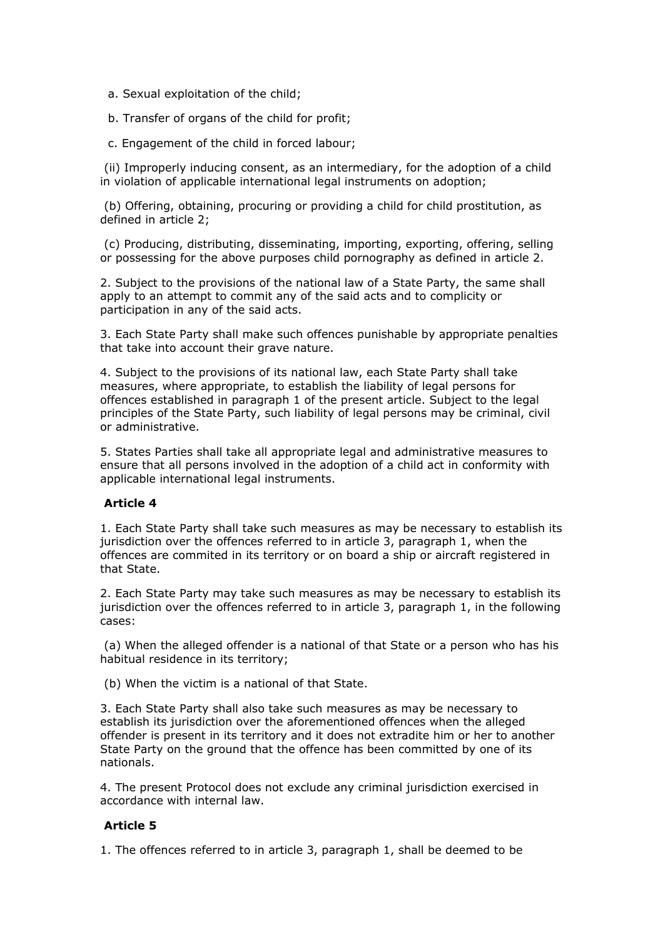- a. Sexual exploitation of the child;
- b. Transfer of organs of the child for profit;
- c. Engagement of the child in forced labour;

 (ii) Improperly inducing consent, as an intermediary, for the adoption of a child in violation of applicable international legal instruments on adoption;

 (b) Offering, obtaining, procuring or providing a child for child prostitution, as defined in article 2;

 (c) Producing, distributing, disseminating, importing, exporting, offering, selling or possessing for the above purposes child pornography as defined in article 2.

2. Subject to the provisions of the national law of a State Party, the same shall apply to an attempt to commit any of the said acts and to complicity or participation in any of the said acts.

3. Each State Party shall make such offences punishable by appropriate penalties that take into account their grave nature.

4. Subject to the provisions of its national law, each State Party shall take measures, where appropriate, to establish the liability of legal persons for offences established in paragraph 1 of the present article. Subject to the legal principles of the State Party, such liability of legal persons may be criminal, civil or administrative.

5. States Parties shall take all appropriate legal and administrative measures to ensure that all persons involved in the adoption of a child act in conformity with applicable international legal instruments.

# **Article 4**

1. Each State Party shall take such measures as may be necessary to establish its jurisdiction over the offences referred to in article 3, paragraph 1, when the offences are commited in its territory or on board a ship or aircraft registered in that State.

2. Each State Party may take such measures as may be necessary to establish its jurisdiction over the offences referred to in article 3, paragraph 1, in the following cases:

 (a) When the alleged offender is a national of that State or a person who has his habitual residence in its territory;

(b) When the victim is a national of that State.

3. Each State Party shall also take such measures as may be necessary to establish its jurisdiction over the aforementioned offences when the alleged offender is present in its territory and it does not extradite him or her to another State Party on the ground that the offence has been committed by one of its nationals.

4. The present Protocol does not exclude any criminal jurisdiction exercised in accordance with internal law.

# **Article 5**

1. The offences referred to in article 3, paragraph 1, shall be deemed to be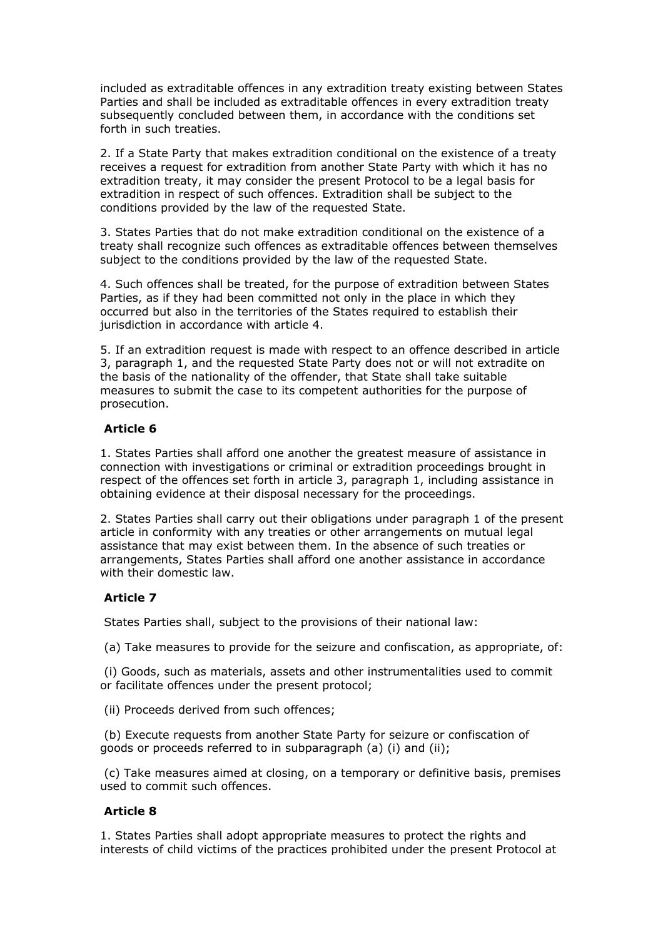included as extraditable offences in any extradition treaty existing between States Parties and shall be included as extraditable offences in every extradition treaty subsequently concluded between them, in accordance with the conditions set forth in such treaties.

2. If a State Party that makes extradition conditional on the existence of a treaty receives a request for extradition from another State Party with which it has no extradition treaty, it may consider the present Protocol to be a legal basis for extradition in respect of such offences. Extradition shall be subject to the conditions provided by the law of the requested State.

3. States Parties that do not make extradition conditional on the existence of a treaty shall recognize such offences as extraditable offences between themselves subject to the conditions provided by the law of the requested State.

4. Such offences shall be treated, for the purpose of extradition between States Parties, as if they had been committed not only in the place in which they occurred but also in the territories of the States required to establish their jurisdiction in accordance with article 4.

5. If an extradition request is made with respect to an offence described in article 3, paragraph 1, and the requested State Party does not or will not extradite on the basis of the nationality of the offender, that State shall take suitable measures to submit the case to its competent authorities for the purpose of prosecution.

#### **Article 6**

1. States Parties shall afford one another the greatest measure of assistance in connection with investigations or criminal or extradition proceedings brought in respect of the offences set forth in article 3, paragraph 1, including assistance in obtaining evidence at their disposal necessary for the proceedings.

2. States Parties shall carry out their obligations under paragraph 1 of the present article in conformity with any treaties or other arrangements on mutual legal assistance that may exist between them. In the absence of such treaties or arrangements, States Parties shall afford one another assistance in accordance with their domestic law.

# **Article 7**

States Parties shall, subject to the provisions of their national law:

(a) Take measures to provide for the seizure and confiscation, as appropriate, of:

 (i) Goods, such as materials, assets and other instrumentalities used to commit or facilitate offences under the present protocol;

(ii) Proceeds derived from such offences;

 (b) Execute requests from another State Party for seizure or confiscation of goods or proceeds referred to in subparagraph (a) (i) and (ii);

 (c) Take measures aimed at closing, on a temporary or definitive basis, premises used to commit such offences.

# **Article 8**

1. States Parties shall adopt appropriate measures to protect the rights and interests of child victims of the practices prohibited under the present Protocol at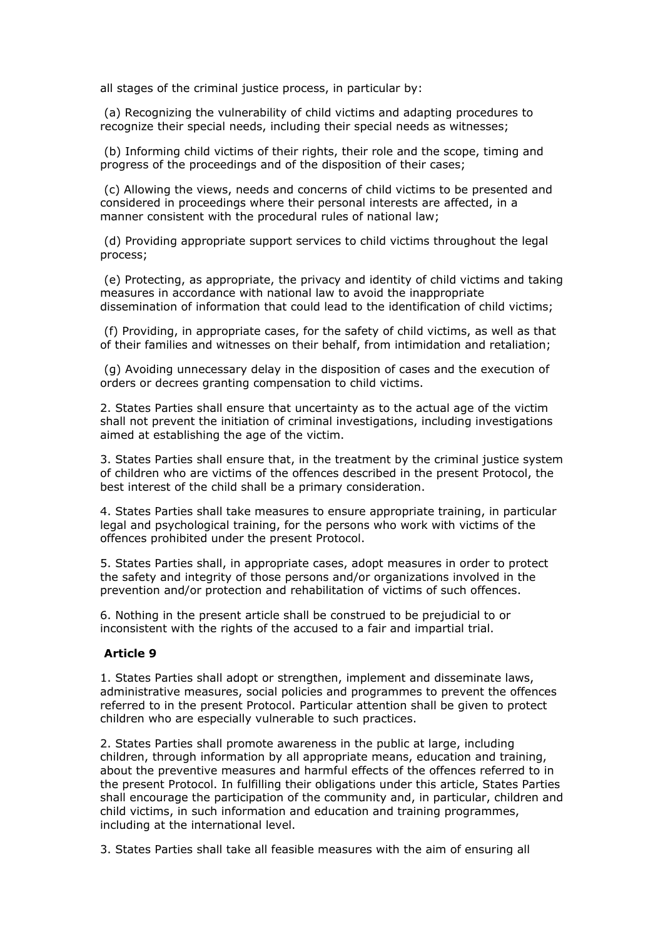all stages of the criminal justice process, in particular by:

 (a) Recognizing the vulnerability of child victims and adapting procedures to recognize their special needs, including their special needs as witnesses;

 (b) Informing child victims of their rights, their role and the scope, timing and progress of the proceedings and of the disposition of their cases;

 (c) Allowing the views, needs and concerns of child victims to be presented and considered in proceedings where their personal interests are affected, in a manner consistent with the procedural rules of national law;

 (d) Providing appropriate support services to child victims throughout the legal process;

 (e) Protecting, as appropriate, the privacy and identity of child victims and taking measures in accordance with national law to avoid the inappropriate dissemination of information that could lead to the identification of child victims;

 (f) Providing, in appropriate cases, for the safety of child victims, as well as that of their families and witnesses on their behalf, from intimidation and retaliation;

 (g) Avoiding unnecessary delay in the disposition of cases and the execution of orders or decrees granting compensation to child victims.

2. States Parties shall ensure that uncertainty as to the actual age of the victim shall not prevent the initiation of criminal investigations, including investigations aimed at establishing the age of the victim.

3. States Parties shall ensure that, in the treatment by the criminal justice system of children who are victims of the offences described in the present Protocol, the best interest of the child shall be a primary consideration.

4. States Parties shall take measures to ensure appropriate training, in particular legal and psychological training, for the persons who work with victims of the offences prohibited under the present Protocol.

5. States Parties shall, in appropriate cases, adopt measures in order to protect the safety and integrity of those persons and/or organizations involved in the prevention and/or protection and rehabilitation of victims of such offences.

6. Nothing in the present article shall be construed to be prejudicial to or inconsistent with the rights of the accused to a fair and impartial trial.

#### **Article 9**

1. States Parties shall adopt or strengthen, implement and disseminate laws, administrative measures, social policies and programmes to prevent the offences referred to in the present Protocol. Particular attention shall be given to protect children who are especially vulnerable to such practices.

2. States Parties shall promote awareness in the public at large, including children, through information by all appropriate means, education and training, about the preventive measures and harmful effects of the offences referred to in the present Protocol. In fulfilling their obligations under this article, States Parties shall encourage the participation of the community and, in particular, children and child victims, in such information and education and training programmes, including at the international level.

3. States Parties shall take all feasible measures with the aim of ensuring all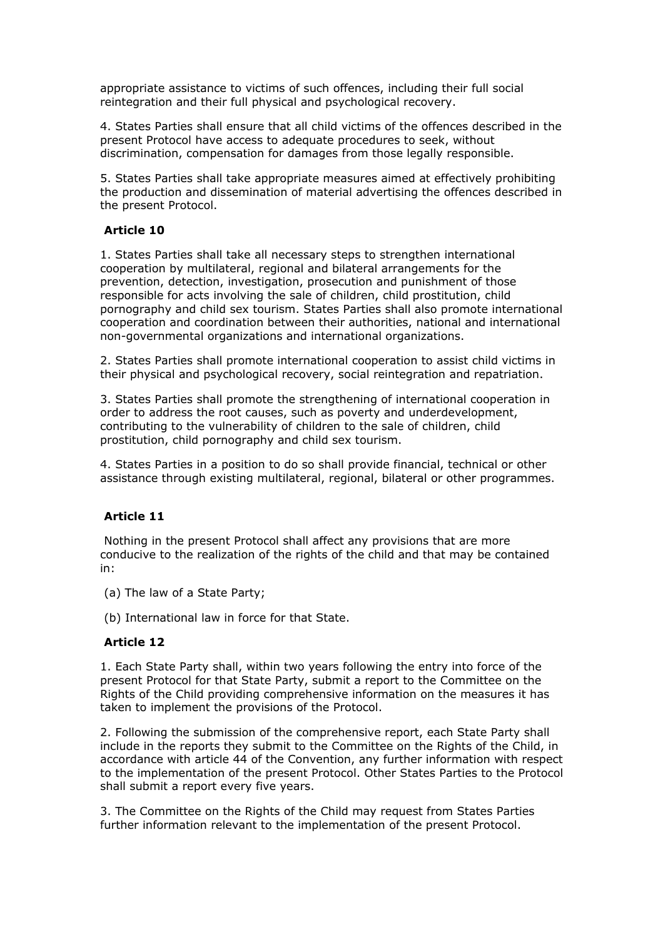appropriate assistance to victims of such offences, including their full social reintegration and their full physical and psychological recovery.

4. States Parties shall ensure that all child victims of the offences described in the present Protocol have access to adequate procedures to seek, without discrimination, compensation for damages from those legally responsible.

5. States Parties shall take appropriate measures aimed at effectively prohibiting the production and dissemination of material advertising the offences described in the present Protocol.

#### **Article 10**

1. States Parties shall take all necessary steps to strengthen international cooperation by multilateral, regional and bilateral arrangements for the prevention, detection, investigation, prosecution and punishment of those responsible for acts involving the sale of children, child prostitution, child pornography and child sex tourism. States Parties shall also promote international cooperation and coordination between their authorities, national and international non-governmental organizations and international organizations.

2. States Parties shall promote international cooperation to assist child victims in their physical and psychological recovery, social reintegration and repatriation.

3. States Parties shall promote the strengthening of international cooperation in order to address the root causes, such as poverty and underdevelopment, contributing to the vulnerability of children to the sale of children, child prostitution, child pornography and child sex tourism.

4. States Parties in a position to do so shall provide financial, technical or other assistance through existing multilateral, regional, bilateral or other programmes.

# **Article 11**

 Nothing in the present Protocol shall affect any provisions that are more conducive to the realization of the rights of the child and that may be contained in:

- (a) The law of a State Party;
- (b) International law in force for that State.

#### **Article 12**

1. Each State Party shall, within two years following the entry into force of the present Protocol for that State Party, submit a report to the Committee on the Rights of the Child providing comprehensive information on the measures it has taken to implement the provisions of the Protocol.

2. Following the submission of the comprehensive report, each State Party shall include in the reports they submit to the Committee on the Rights of the Child, in accordance with article 44 of the Convention, any further information with respect to the implementation of the present Protocol. Other States Parties to the Protocol shall submit a report every five years.

3. The Committee on the Rights of the Child may request from States Parties further information relevant to the implementation of the present Protocol.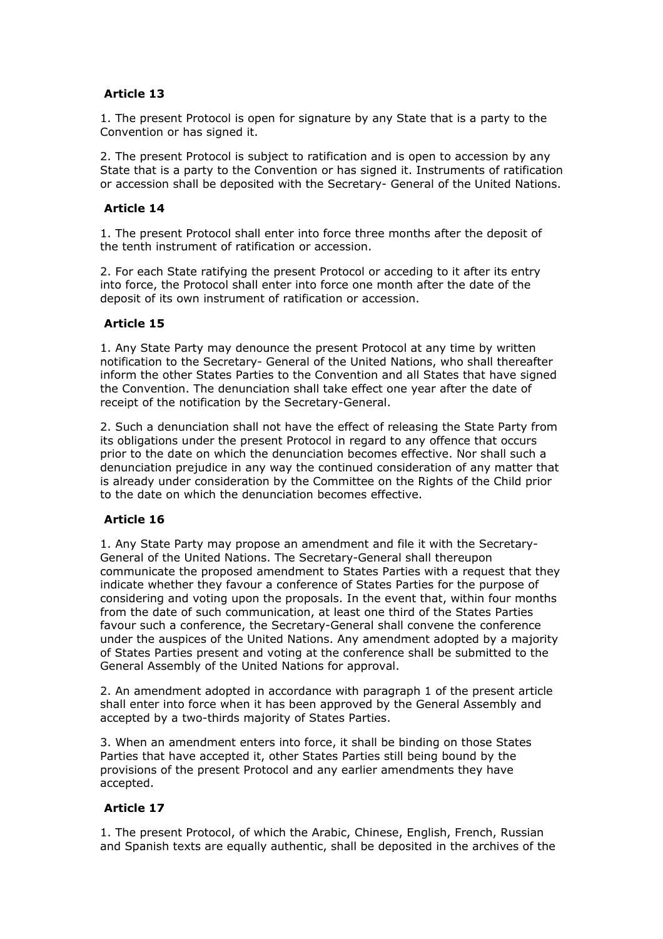# **Article 13**

1. The present Protocol is open for signature by any State that is a party to the Convention or has signed it.

2. The present Protocol is subject to ratification and is open to accession by any State that is a party to the Convention or has signed it. Instruments of ratification or accession shall be deposited with the Secretary- General of the United Nations.

### **Article 14**

1. The present Protocol shall enter into force three months after the deposit of the tenth instrument of ratification or accession.

2. For each State ratifying the present Protocol or acceding to it after its entry into force, the Protocol shall enter into force one month after the date of the deposit of its own instrument of ratification or accession.

#### **Article 15**

1. Any State Party may denounce the present Protocol at any time by written notification to the Secretary- General of the United Nations, who shall thereafter inform the other States Parties to the Convention and all States that have signed the Convention. The denunciation shall take effect one year after the date of receipt of the notification by the Secretary-General.

2. Such a denunciation shall not have the effect of releasing the State Party from its obligations under the present Protocol in regard to any offence that occurs prior to the date on which the denunciation becomes effective. Nor shall such a denunciation prejudice in any way the continued consideration of any matter that is already under consideration by the Committee on the Rights of the Child prior to the date on which the denunciation becomes effective.

# **Article 16**

1. Any State Party may propose an amendment and file it with the Secretary-General of the United Nations. The Secretary-General shall thereupon communicate the proposed amendment to States Parties with a request that they indicate whether they favour a conference of States Parties for the purpose of considering and voting upon the proposals. In the event that, within four months from the date of such communication, at least one third of the States Parties favour such a conference, the Secretary-General shall convene the conference under the auspices of the United Nations. Any amendment adopted by a majority of States Parties present and voting at the conference shall be submitted to the General Assembly of the United Nations for approval.

2. An amendment adopted in accordance with paragraph 1 of the present article shall enter into force when it has been approved by the General Assembly and accepted by a two-thirds majority of States Parties.

3. When an amendment enters into force, it shall be binding on those States Parties that have accepted it, other States Parties still being bound by the provisions of the present Protocol and any earlier amendments they have accepted.

# **Article 17**

1. The present Protocol, of which the Arabic, Chinese, English, French, Russian and Spanish texts are equally authentic, shall be deposited in the archives of the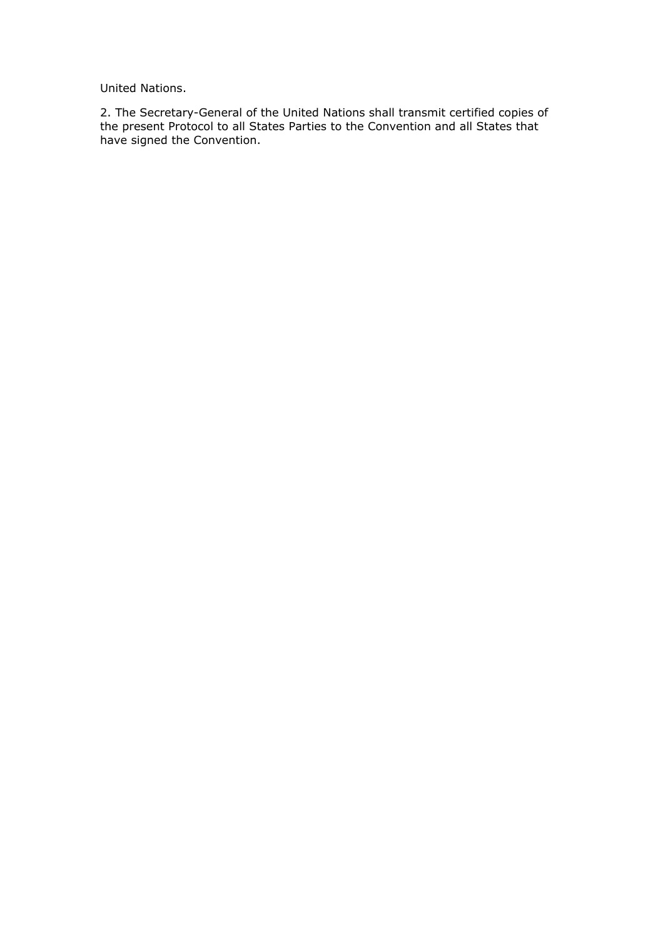United Nations.

2. The Secretary-General of the United Nations shall transmit certified copies of the present Protocol to all States Parties to the Convention and all States that have signed the Convention.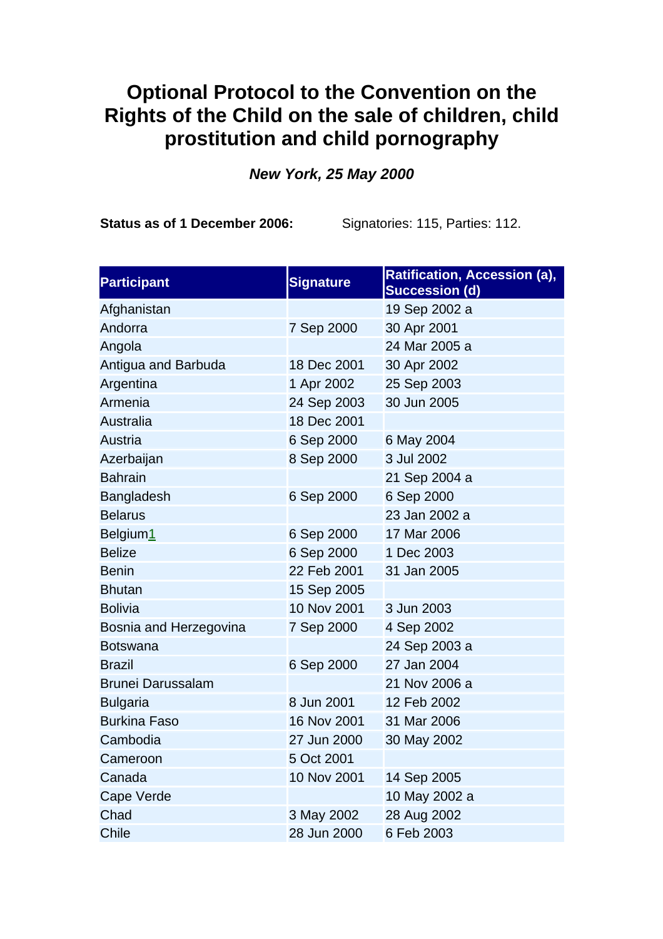# **Optional Protocol to the Convention on the Rights of the Child on the sale of children, child prostitution and child pornography**

# *New York, 25 May 2000*

**Status as of 1 December 2006:** Signatories: 115, Parties: 112.

| <b>Participant</b>       | <b>Signature</b> | Ratification, Accession (a),<br><b>Succession (d)</b> |
|--------------------------|------------------|-------------------------------------------------------|
| Afghanistan              |                  | 19 Sep 2002 a                                         |
| Andorra                  | 7 Sep 2000       | 30 Apr 2001                                           |
| Angola                   |                  | 24 Mar 2005 a                                         |
| Antigua and Barbuda      | 18 Dec 2001      | 30 Apr 2002                                           |
| Argentina                | 1 Apr 2002       | 25 Sep 2003                                           |
| Armenia                  | 24 Sep 2003      | 30 Jun 2005                                           |
| Australia                | 18 Dec 2001      |                                                       |
| Austria                  | 6 Sep 2000       | 6 May 2004                                            |
| Azerbaijan               | 8 Sep 2000       | 3 Jul 2002                                            |
| <b>Bahrain</b>           |                  | 21 Sep 2004 a                                         |
| Bangladesh               | 6 Sep 2000       | 6 Sep 2000                                            |
| <b>Belarus</b>           |                  | 23 Jan 2002 a                                         |
| Belgium <sub>1</sub>     | 6 Sep 2000       | 17 Mar 2006                                           |
| <b>Belize</b>            | 6 Sep 2000       | 1 Dec 2003                                            |
| <b>Benin</b>             | 22 Feb 2001      | 31 Jan 2005                                           |
| <b>Bhutan</b>            | 15 Sep 2005      |                                                       |
| <b>Bolivia</b>           | 10 Nov 2001      | 3 Jun 2003                                            |
| Bosnia and Herzegovina   | 7 Sep 2000       | 4 Sep 2002                                            |
| <b>Botswana</b>          |                  | 24 Sep 2003 a                                         |
| <b>Brazil</b>            | 6 Sep 2000       | 27 Jan 2004                                           |
| <b>Brunei Darussalam</b> |                  | 21 Nov 2006 a                                         |
| <b>Bulgaria</b>          | 8 Jun 2001       | 12 Feb 2002                                           |
| <b>Burkina Faso</b>      | 16 Nov 2001      | 31 Mar 2006                                           |
| Cambodia                 | 27 Jun 2000      | 30 May 2002                                           |
| Cameroon                 | 5 Oct 2001       |                                                       |
| Canada                   | 10 Nov 2001      | 14 Sep 2005                                           |
| Cape Verde               |                  | 10 May 2002 a                                         |
| Chad                     | 3 May 2002       | 28 Aug 2002                                           |
| Chile                    | 28 Jun 2000      | 6 Feb 2003                                            |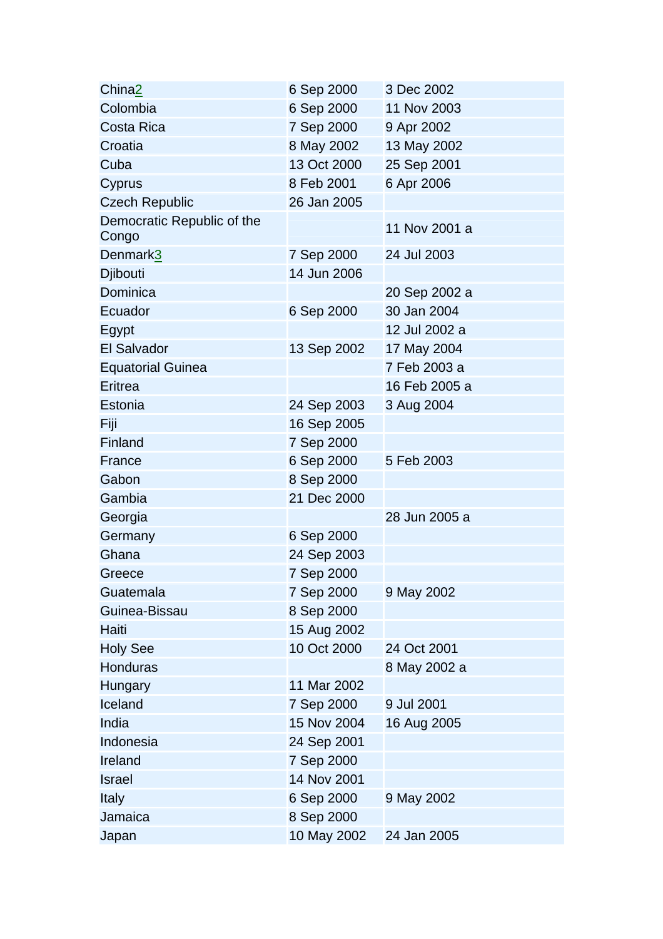| China <sub>2</sub>                  | 6 Sep 2000  | 3 Dec 2002    |
|-------------------------------------|-------------|---------------|
| Colombia                            | 6 Sep 2000  | 11 Nov 2003   |
| Costa Rica                          | 7 Sep 2000  | 9 Apr 2002    |
| Croatia                             | 8 May 2002  | 13 May 2002   |
| Cuba                                | 13 Oct 2000 | 25 Sep 2001   |
| Cyprus                              | 8 Feb 2001  | 6 Apr 2006    |
| <b>Czech Republic</b>               | 26 Jan 2005 |               |
| Democratic Republic of the<br>Congo |             | 11 Nov 2001 a |
| Denmark <sub>3</sub>                | 7 Sep 2000  | 24 Jul 2003   |
| Djibouti                            | 14 Jun 2006 |               |
| Dominica                            |             | 20 Sep 2002 a |
| Ecuador                             | 6 Sep 2000  | 30 Jan 2004   |
| Egypt                               |             | 12 Jul 2002 a |
| <b>El Salvador</b>                  | 13 Sep 2002 | 17 May 2004   |
| <b>Equatorial Guinea</b>            |             | 7 Feb 2003 a  |
| Eritrea                             |             | 16 Feb 2005 a |
| Estonia                             | 24 Sep 2003 | 3 Aug 2004    |
| Fiji                                | 16 Sep 2005 |               |
| Finland                             | 7 Sep 2000  |               |
| France                              | 6 Sep 2000  | 5 Feb 2003    |
| Gabon                               | 8 Sep 2000  |               |
| Gambia                              | 21 Dec 2000 |               |
| Georgia                             |             | 28 Jun 2005 a |
| Germany                             | 6 Sep 2000  |               |
| Ghana                               | 24 Sep 2003 |               |
| Greece                              | 7 Sep 2000  |               |
| Guatemala                           | 7 Sep 2000  | 9 May 2002    |
| Guinea-Bissau                       | 8 Sep 2000  |               |
| <b>Haiti</b>                        | 15 Aug 2002 |               |
| <b>Holy See</b>                     | 10 Oct 2000 | 24 Oct 2001   |
| <b>Honduras</b>                     |             | 8 May 2002 a  |
| Hungary                             | 11 Mar 2002 |               |
| Iceland                             | 7 Sep 2000  | 9 Jul 2001    |
| India                               | 15 Nov 2004 | 16 Aug 2005   |
| Indonesia                           | 24 Sep 2001 |               |
| Ireland                             | 7 Sep 2000  |               |
| <b>Israel</b>                       | 14 Nov 2001 |               |
| Italy                               | 6 Sep 2000  | 9 May 2002    |
| Jamaica                             | 8 Sep 2000  |               |
| Japan                               | 10 May 2002 | 24 Jan 2005   |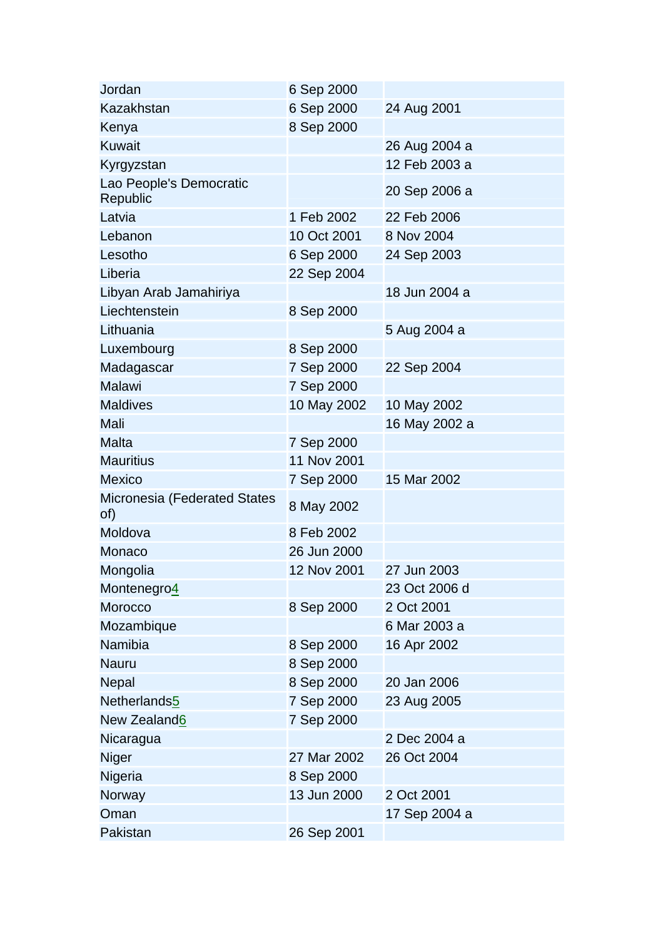| Jordan                              | 6 Sep 2000  |               |
|-------------------------------------|-------------|---------------|
| Kazakhstan                          | 6 Sep 2000  | 24 Aug 2001   |
| Kenya                               | 8 Sep 2000  |               |
| <b>Kuwait</b>                       |             | 26 Aug 2004 a |
| Kyrgyzstan                          |             | 12 Feb 2003 a |
| Lao People's Democratic<br>Republic |             | 20 Sep 2006 a |
| Latvia                              | 1 Feb 2002  | 22 Feb 2006   |
| Lebanon                             | 10 Oct 2001 | 8 Nov 2004    |
| Lesotho                             | 6 Sep 2000  | 24 Sep 2003   |
| Liberia                             | 22 Sep 2004 |               |
| Libyan Arab Jamahiriya              |             | 18 Jun 2004 a |
| Liechtenstein                       | 8 Sep 2000  |               |
| Lithuania                           |             | 5 Aug 2004 a  |
| Luxembourg                          | 8 Sep 2000  |               |
| Madagascar                          | 7 Sep 2000  | 22 Sep 2004   |
| <b>Malawi</b>                       | 7 Sep 2000  |               |
| <b>Maldives</b>                     | 10 May 2002 | 10 May 2002   |
| Mali                                |             | 16 May 2002 a |
| <b>Malta</b>                        | 7 Sep 2000  |               |
| <b>Mauritius</b>                    | 11 Nov 2001 |               |
| <b>Mexico</b>                       | 7 Sep 2000  | 15 Mar 2002   |
| Micronesia (Federated States<br>of) | 8 May 2002  |               |
| Moldova                             | 8 Feb 2002  |               |
| Monaco                              | 26 Jun 2000 |               |
| Mongolia                            | 12 Nov 2001 | 27 Jun 2003   |
| Montenegro4                         |             | 23 Oct 2006 d |
| Morocco                             | 8 Sep 2000  | 2 Oct 2001    |
| Mozambique                          |             | 6 Mar 2003 a  |
| Namibia                             | 8 Sep 2000  | 16 Apr 2002   |
| <b>Nauru</b>                        | 8 Sep 2000  |               |
| <b>Nepal</b>                        | 8 Sep 2000  | 20 Jan 2006   |
| Netherlands <sub>5</sub>            | 7 Sep 2000  | 23 Aug 2005   |
| New Zealand <sub>6</sub>            | 7 Sep 2000  |               |
| Nicaragua                           |             | 2 Dec 2004 a  |
| <b>Niger</b>                        | 27 Mar 2002 | 26 Oct 2004   |
| Nigeria                             | 8 Sep 2000  |               |
| Norway                              | 13 Jun 2000 | 2 Oct 2001    |
| Oman                                |             | 17 Sep 2004 a |
| Pakistan                            | 26 Sep 2001 |               |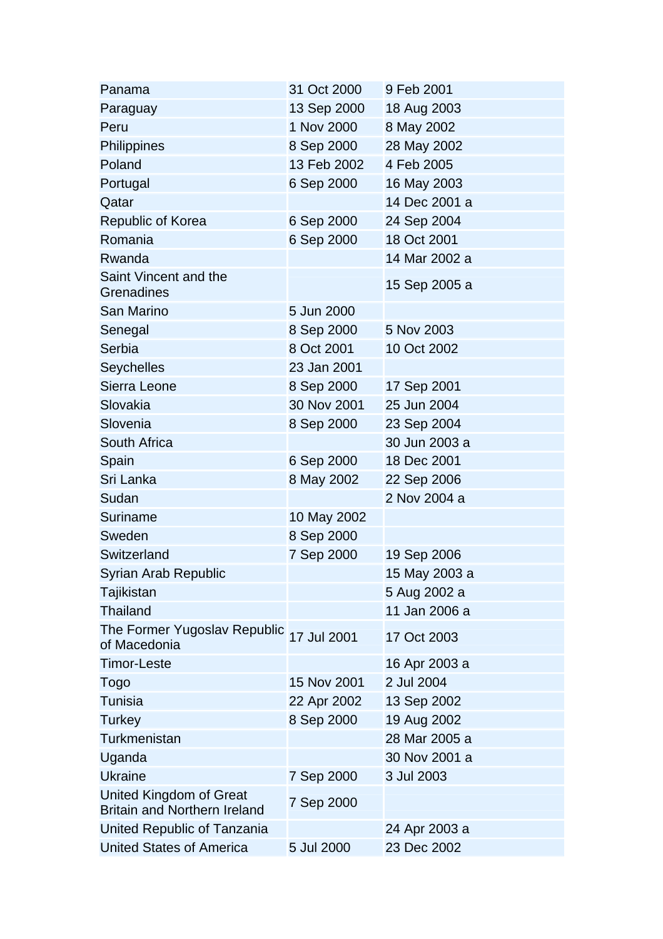| Panama                                                         | 31 Oct 2000 | 9 Feb 2001    |
|----------------------------------------------------------------|-------------|---------------|
| Paraguay                                                       | 13 Sep 2000 | 18 Aug 2003   |
| Peru                                                           | 1 Nov 2000  | 8 May 2002    |
| Philippines                                                    | 8 Sep 2000  | 28 May 2002   |
| Poland                                                         | 13 Feb 2002 | 4 Feb 2005    |
| Portugal                                                       | 6 Sep 2000  | 16 May 2003   |
| Qatar                                                          |             | 14 Dec 2001 a |
| Republic of Korea                                              | 6 Sep 2000  | 24 Sep 2004   |
| Romania                                                        | 6 Sep 2000  | 18 Oct 2001   |
| Rwanda                                                         |             | 14 Mar 2002 a |
| Saint Vincent and the<br>Grenadines                            |             | 15 Sep 2005 a |
| San Marino                                                     | 5 Jun 2000  |               |
| Senegal                                                        | 8 Sep 2000  | 5 Nov 2003    |
| Serbia                                                         | 8 Oct 2001  | 10 Oct 2002   |
| <b>Seychelles</b>                                              | 23 Jan 2001 |               |
| Sierra Leone                                                   | 8 Sep 2000  | 17 Sep 2001   |
| Slovakia                                                       | 30 Nov 2001 | 25 Jun 2004   |
| Slovenia                                                       | 8 Sep 2000  | 23 Sep 2004   |
| South Africa                                                   |             | 30 Jun 2003 a |
| Spain                                                          | 6 Sep 2000  | 18 Dec 2001   |
| Sri Lanka                                                      | 8 May 2002  | 22 Sep 2006   |
| Sudan                                                          |             | 2 Nov 2004 a  |
| <b>Suriname</b>                                                | 10 May 2002 |               |
| Sweden                                                         | 8 Sep 2000  |               |
| Switzerland                                                    | 7 Sep 2000  | 19 Sep 2006   |
| <b>Syrian Arab Republic</b>                                    |             | 15 May 2003 a |
| Tajikistan                                                     |             | 5 Aug 2002 a  |
| <b>Thailand</b>                                                |             | 11 Jan 2006 a |
| The Former Yugoslav Republic 17 Jul 2001<br>of Macedonia       |             | 17 Oct 2003   |
| <b>Timor-Leste</b>                                             |             | 16 Apr 2003 a |
| Togo                                                           | 15 Nov 2001 | 2 Jul 2004    |
| Tunisia                                                        | 22 Apr 2002 | 13 Sep 2002   |
| <b>Turkey</b>                                                  | 8 Sep 2000  | 19 Aug 2002   |
| Turkmenistan                                                   |             | 28 Mar 2005 a |
| Uganda                                                         |             | 30 Nov 2001 a |
| <b>Ukraine</b>                                                 | 7 Sep 2000  | 3 Jul 2003    |
| United Kingdom of Great<br><b>Britain and Northern Ireland</b> | 7 Sep 2000  |               |
| United Republic of Tanzania                                    |             | 24 Apr 2003 a |
| <b>United States of America</b>                                | 5 Jul 2000  | 23 Dec 2002   |